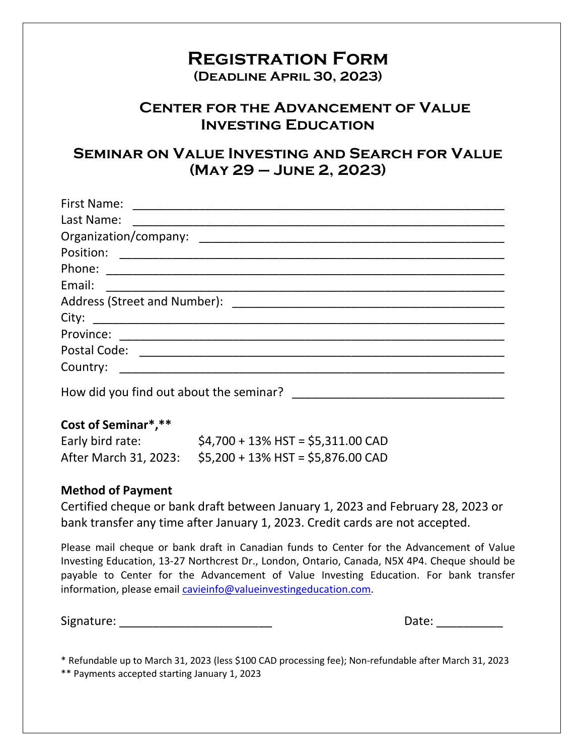## **Registration Form**

**(Deadline April 30, 2023)**

### **Center for the Advancement of Value Investing Education**

### **Seminar on Value Investing and Search for Value (May 29 – June 2, 2023)**

| Last Name:<br><u> 1999 - Jan James James James James James James James James James James James James James James James James J</u> |
|------------------------------------------------------------------------------------------------------------------------------------|
|                                                                                                                                    |
|                                                                                                                                    |
|                                                                                                                                    |
| Email:                                                                                                                             |
|                                                                                                                                    |
|                                                                                                                                    |
|                                                                                                                                    |
|                                                                                                                                    |
|                                                                                                                                    |
| How did you find out about the seminar?                                                                                            |

#### **Cost of Seminar\*,\*\***

| Early bird rate: | $$4,700 + 13\%$ HST = \$5,311.00 CAD                       |
|------------------|------------------------------------------------------------|
|                  | After March 31, 2023: $$5,200 + 13\%$ HST = \$5,876.00 CAD |

#### **Method of Payment**

Certified cheque or bank draft between January 1, 2023 and February 28, 2023 or bank transfer any time after January 1, 2023. Credit cards are not accepted.

Please mail cheque or bank draft in Canadian funds to Center for the Advancement of Value Investing Education, 13-27 Northcrest Dr., London, Ontario, Canada, N5X 4P4. Cheque should be payable to Center for the Advancement of Value Investing Education. For bank transfer information, please email [cavieinfo@valueinvestingeducation.com.](mailto:cavieinfo@valueinvestingeducation.com)

Signature: The contract of the contract of the contract of the contract of the contract of the contract of the contract of the contract of the contract of the contract of the contract of the contract of the contract of the

\* Refundable up to March 31, 2023 (less \$100 CAD processing fee); Non-refundable after March 31, 2023 \*\* Payments accepted starting January 1, 2023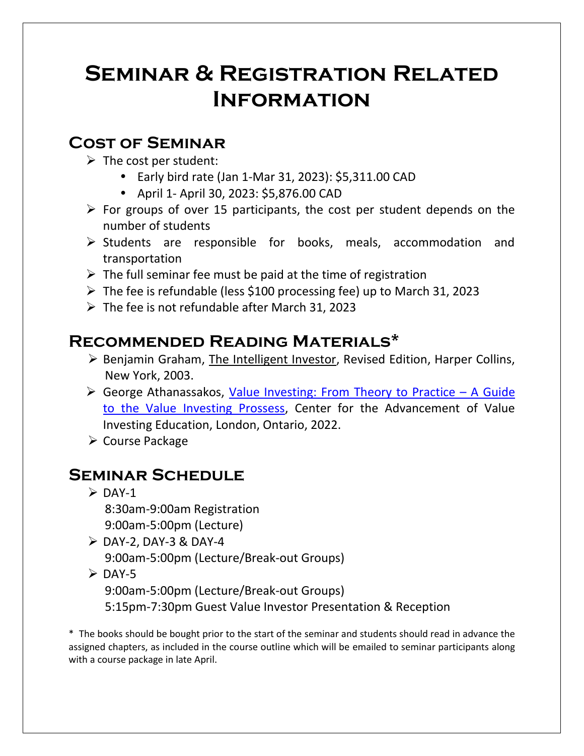# **Seminar & Registration Related Information**

## **Cost of Seminar**

- $\triangleright$  The cost per student:
	- Early bird rate (Jan 1-Mar 31, 2023): \$5,311.00 CAD
	- April 1- April 30, 2023: \$5,876.00 CAD
- $\triangleright$  For groups of over 15 participants, the cost per student depends on the number of students
- ➢ Students are responsible for books, meals, accommodation and transportation
- $\triangleright$  The full seminar fee must be paid at the time of registration
- ➢ The fee is refundable (less \$100 processing fee) up to March 31, 2023
- $\triangleright$  The fee is not refundable after March 31, 2023

## **Recommended Reading Materials\***

- ➢ Benjamin Graham, The Intelligent Investor, Revised Edition, Harper Collins, New York, 2003.
- ➢ George Athanassakos, [Value Investing: From Theory to Practice](https://valueinvestingeducation.com/index.php/value-investing-from-theory-to-practice-a-guide-to-the-value-investing-process/)  A Guide [to the Value Investing Prossess,](https://valueinvestingeducation.com/index.php/value-investing-from-theory-to-practice-a-guide-to-the-value-investing-process/) Center for the Advancement of Value Investing Education, London, Ontario, 2022.
- ➢ Course Package

## **Seminar Schedule**

- $\triangleright$  DAY-1 8:30am-9:00am Registration 9:00am-5:00pm (Lecture)
- $\triangleright$  DAY-2, DAY-3 & DAY-4
	- 9:00am-5:00pm (Lecture/Break-out Groups)
- $\triangleright$  DAY-5
	- 9:00am-5:00pm (Lecture/Break-out Groups)
	- 5:15pm-7:30pm Guest Value Investor Presentation & Reception

\* The books should be bought prior to the start of the seminar and students should read in advance the assigned chapters, as included in the course outline which will be emailed to seminar participants along with a course package in late April.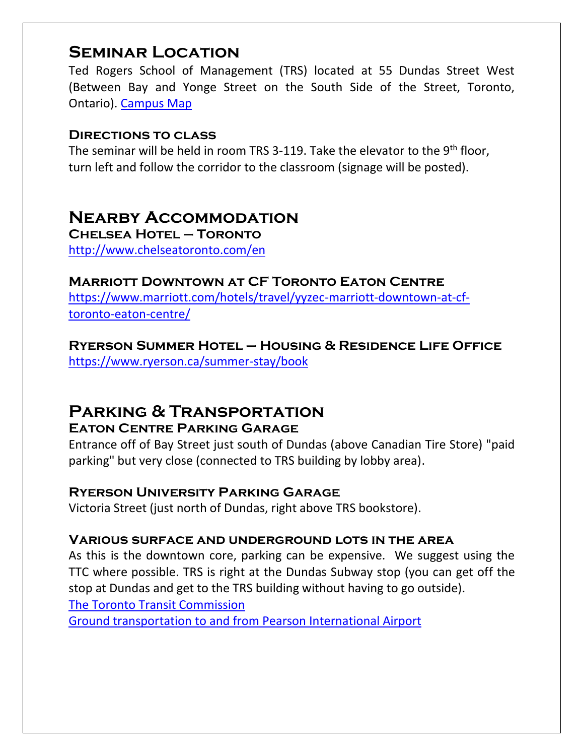## **Seminar Location**

Ted Rogers School of Management (TRS) located at 55 Dundas Street West (Between Bay and Yonge Street on the South Side of the Street, Toronto, Ontario). [Campus Map](http://www.ryerson.ca/maps)

#### **Directions to class**

The seminar will be held in room TRS 3-119. Take the elevator to the 9<sup>th</sup> floor, turn left and follow the corridor to the classroom (signage will be posted).

## **Nearby Accommodation**

**Chelsea Hotel – Toronto** <http://www.chelseatoronto.com/en>

#### **Marriott Downtown at CF Toronto Eaton Centre**

[https://www.marriott.com/hotels/travel/yyzec-marriott-downtown-at-cf](https://www.marriott.com/hotels/travel/yyzec-marriott-downtown-at-cf-toronto-eaton-centre/)[toronto-eaton-centre/](https://www.marriott.com/hotels/travel/yyzec-marriott-downtown-at-cf-toronto-eaton-centre/)

**Ryerson Summer Hotel – Housing & Residence Life Office**  <https://www.ryerson.ca/summer-stay/book>

# **Parking & Transportation**

#### **Eaton Centre Parking Garage**

Entrance off of Bay Street just south of Dundas (above Canadian Tire Store) "paid parking" but very close (connected to TRS building by lobby area).

#### **Ryerson University Parking Garage**

Victoria Street (just north of Dundas, right above TRS bookstore).

#### **Various surface and underground lots in the area**

As this is the downtown core, parking can be expensive. We suggest using the TTC where possible. TRS is right at the Dundas Subway stop (you can get off the stop at Dundas and get to the TRS building without having to go outside).

[The Toronto Transit Commission](http://www3.ttc.ca/)

[Ground transportation to and from Pearson International Airport](https://www.torontopearson.com/Mobile/Generic/GroundTransportation.aspx?flag=arr)